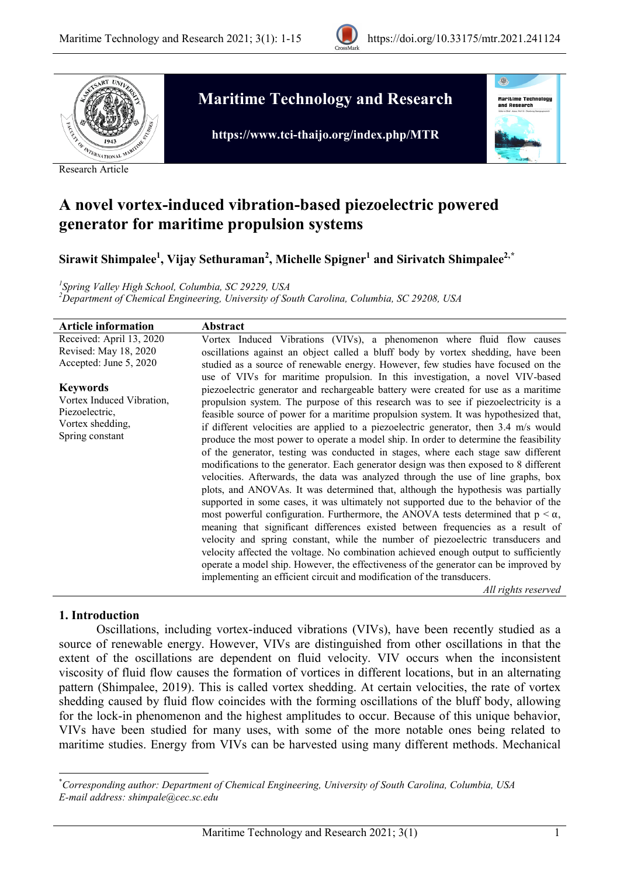



Research Article

# **Maritime Technology and Research**



0

**https://www.tci-thaijo.org/index.php/MTR**

# **A novel vortex-induced vibration-based piezoelectric powered generator for maritime propulsion systems**

 $\boldsymbol{\mathrm{Sirawit~Shimpalee}}^{1}$ , Vijay Sethuraman $^{2}$ , Michelle Spigner $^{1}$  and Sirivatch Shimpalee $^{2, *}$  $^{2, *}$  $^{2, *}$ 

*1 Spring Valley High School, Columbia, SC 29229, USA <sup>2</sup>*

*Department of Chemical Engineering, University of South Carolina, Columbia, SC 29208, USA*

| <b>Article information</b>                                                                            | Abstract                                                                                                                                                                                                                                                                                                                                                                                                                                                                                                                                                                                                                                                                                                                                                                                                                                                                                                                                                                                                                                                                                                                                                                                                                                                                                                                                                                                                                                             |
|-------------------------------------------------------------------------------------------------------|------------------------------------------------------------------------------------------------------------------------------------------------------------------------------------------------------------------------------------------------------------------------------------------------------------------------------------------------------------------------------------------------------------------------------------------------------------------------------------------------------------------------------------------------------------------------------------------------------------------------------------------------------------------------------------------------------------------------------------------------------------------------------------------------------------------------------------------------------------------------------------------------------------------------------------------------------------------------------------------------------------------------------------------------------------------------------------------------------------------------------------------------------------------------------------------------------------------------------------------------------------------------------------------------------------------------------------------------------------------------------------------------------------------------------------------------------|
| Received: April 13, 2020<br>Revised: May 18, 2020<br>Accepted: June 5, 2020                           | Vortex Induced Vibrations (VIVs), a phenomenon where fluid flow causes<br>oscillations against an object called a bluff body by vortex shedding, have been<br>studied as a source of renewable energy. However, few studies have focused on the<br>use of VIVs for maritime propulsion. In this investigation, a novel VIV-based                                                                                                                                                                                                                                                                                                                                                                                                                                                                                                                                                                                                                                                                                                                                                                                                                                                                                                                                                                                                                                                                                                                     |
| <b>Keywords</b><br>Vortex Induced Vibration,<br>Piezoelectric,<br>Vortex shedding,<br>Spring constant | piezoelectric generator and rechargeable battery were created for use as a maritime<br>propulsion system. The purpose of this research was to see if piezoelectricity is a<br>feasible source of power for a maritime propulsion system. It was hypothesized that,<br>if different velocities are applied to a piezoelectric generator, then 3.4 m/s would<br>produce the most power to operate a model ship. In order to determine the feasibility<br>of the generator, testing was conducted in stages, where each stage saw different<br>modifications to the generator. Each generator design was then exposed to 8 different<br>velocities. Afterwards, the data was analyzed through the use of line graphs, box<br>plots, and ANOVAs. It was determined that, although the hypothesis was partially<br>supported in some cases, it was ultimately not supported due to the behavior of the<br>most powerful configuration. Furthermore, the ANOVA tests determined that $p < \alpha$ ,<br>meaning that significant differences existed between frequencies as a result of<br>velocity and spring constant, while the number of piezoelectric transducers and<br>velocity affected the voltage. No combination achieved enough output to sufficiently<br>operate a model ship. However, the effectiveness of the generator can be improved by<br>implementing an efficient circuit and modification of the transducers.<br>All rights reserved |

#### **1. Introduction**

Oscillations, including vortex-induced vibrations (VIVs), have been recently studied as a source of renewable energy. However, VIVs are distinguished from other oscillations in that the extent of the oscillations are dependent on fluid velocity. VIV occurs when the inconsistent viscosity of fluid flow causes the formation of vortices in different locations, but in an alternating pattern (Shimpalee, 2019). This is called vortex shedding. At certain velocities, the rate of vortex shedding caused by fluid flow coincides with the forming oscillations of the bluff body, allowing for the lock-in phenomenon and the highest amplitudes to occur. Because of this unique behavior, VIVs have been studied for many uses, with some of the more notable ones being related to maritime studies. Energy from VIVs can be harvested using many different methods. Mechanical

<span id="page-0-0"></span>\* *Corresponding author: Department of Chemical Engineering, University of South Carolina, Columbia, USA E-mail address: shimpale@cec.sc.edu*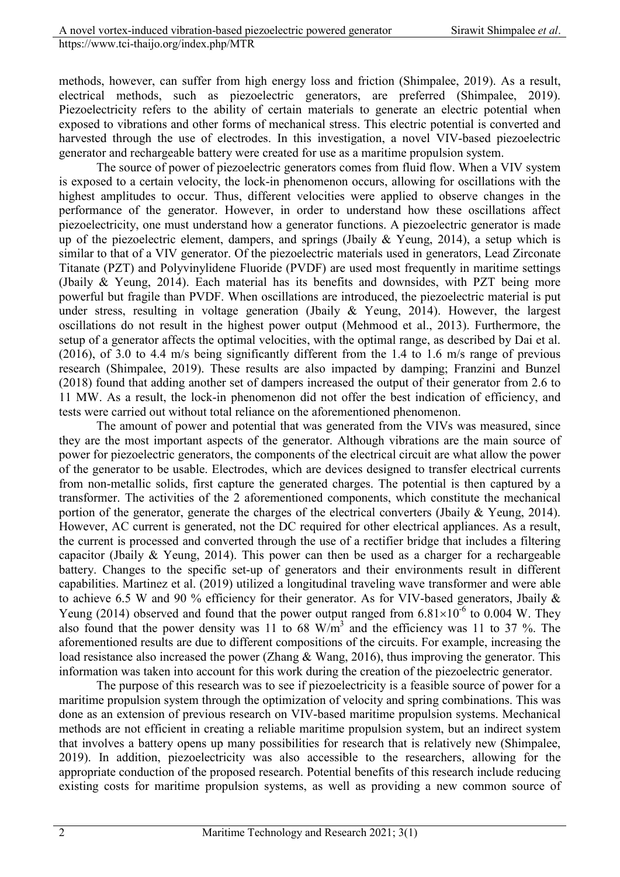methods, however, can suffer from high energy loss and friction (Shimpalee, 2019). As a result, electrical methods, such as piezoelectric generators, are preferred (Shimpalee, 2019). Piezoelectricity refers to the ability of certain materials to generate an electric potential when exposed to vibrations and other forms of mechanical stress. This electric potential is converted and harvested through the use of electrodes. In this investigation, a novel VIV-based piezoelectric generator and rechargeable battery were created for use as a maritime propulsion system.

The source of power of piezoelectric generators comes from fluid flow. When a VIV system is exposed to a certain velocity, the lock-in phenomenon occurs, allowing for oscillations with the highest amplitudes to occur. Thus, different velocities were applied to observe changes in the performance of the generator. However, in order to understand how these oscillations affect piezoelectricity, one must understand how a generator functions. A piezoelectric generator is made up of the piezoelectric element, dampers, and springs (Jbaily & Yeung, 2014), a setup which is similar to that of a VIV generator. Of the piezoelectric materials used in generators, Lead Zirconate Titanate (PZT) and Polyvinylidene Fluoride (PVDF) are used most frequently in maritime settings (Jbaily & Yeung, 2014). Each material has its benefits and downsides, with PZT being more powerful but fragile than PVDF. When oscillations are introduced, the piezoelectric material is put under stress, resulting in voltage generation (Jbaily & Yeung, 2014). However, the largest oscillations do not result in the highest power output (Mehmood et al., 2013). Furthermore, the setup of a generator affects the optimal velocities, with the optimal range, as described by Dai et al. (2016), of 3.0 to 4.4 m/s being significantly different from the 1.4 to 1.6 m/s range of previous research (Shimpalee, 2019). These results are also impacted by damping; Franzini and Bunzel (2018) found that adding another set of dampers increased the output of their generator from 2.6 to 11 MW. As a result, the lock-in phenomenon did not offer the best indication of efficiency, and tests were carried out without total reliance on the aforementioned phenomenon.

The amount of power and potential that was generated from the VIVs was measured, since they are the most important aspects of the generator. Although vibrations are the main source of power for piezoelectric generators, the components of the electrical circuit are what allow the power of the generator to be usable. Electrodes, which are devices designed to transfer electrical currents from non-metallic solids, first capture the generated charges. The potential is then captured by a transformer. The activities of the 2 aforementioned components, which constitute the mechanical portion of the generator, generate the charges of the electrical converters (Jbaily & Yeung, 2014). However, AC current is generated, not the DC required for other electrical appliances. As a result, the current is processed and converted through the use of a rectifier bridge that includes a filtering capacitor (Jbaily & Yeung, 2014). This power can then be used as a charger for a rechargeable battery. Changes to the specific set-up of generators and their environments result in different capabilities. Martinez et al. (2019) utilized a longitudinal traveling wave transformer and were able to achieve 6.5 W and 90 % efficiency for their generator. As for VIV-based generators, Jbaily & Yeung (2014) observed and found that the power output ranged from  $6.81 \times 10^{-6}$  to 0.004 W. They also found that the power density was 11 to 68  $W/m<sup>3</sup>$  and the efficiency was 11 to 37 %. The aforementioned results are due to different compositions of the circuits. For example, increasing the load resistance also increased the power (Zhang & Wang, 2016), thus improving the generator. This information was taken into account for this work during the creation of the piezoelectric generator.

The purpose of this research was to see if piezoelectricity is a feasible source of power for a maritime propulsion system through the optimization of velocity and spring combinations. This was done as an extension of previous research on VIV-based maritime propulsion systems. Mechanical methods are not efficient in creating a reliable maritime propulsion system, but an indirect system that involves a battery opens up many possibilities for research that is relatively new (Shimpalee, 2019). In addition, piezoelectricity was also accessible to the researchers, allowing for the appropriate conduction of the proposed research. Potential benefits of this research include reducing existing costs for maritime propulsion systems, as well as providing a new common source of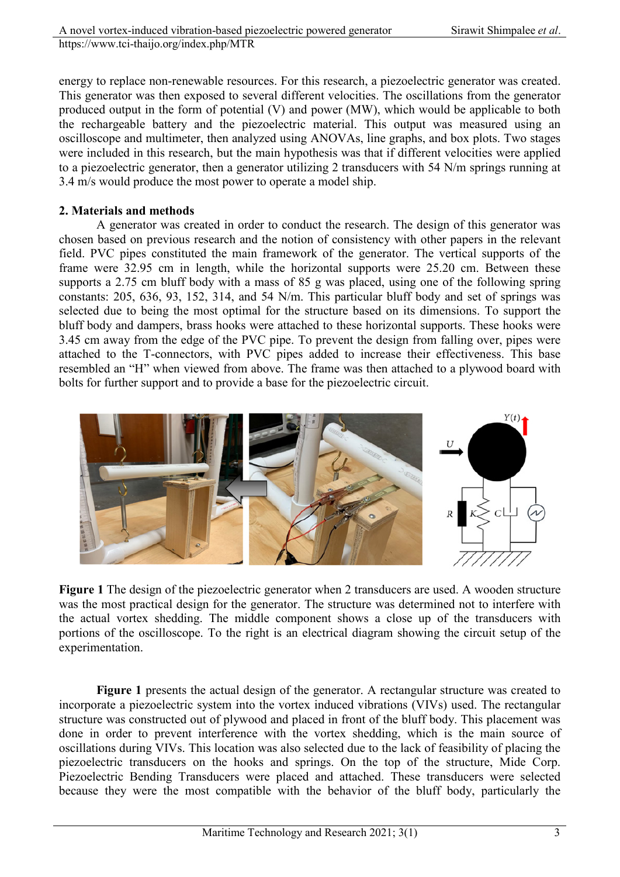energy to replace non-renewable resources. For this research, a piezoelectric generator was created. This generator was then exposed to several different velocities. The oscillations from the generator produced output in the form of potential (V) and power (MW), which would be applicable to both the rechargeable battery and the piezoelectric material. This output was measured using an oscilloscope and multimeter, then analyzed using ANOVAs, line graphs, and box plots. Two stages were included in this research, but the main hypothesis was that if different velocities were applied to a piezoelectric generator, then a generator utilizing 2 transducers with 54 N/m springs running at 3.4 m/s would produce the most power to operate a model ship.

### **2. Materials and methods**

A generator was created in order to conduct the research. The design of this generator was chosen based on previous research and the notion of consistency with other papers in the relevant field. PVC pipes constituted the main framework of the generator. The vertical supports of the frame were 32.95 cm in length, while the horizontal supports were 25.20 cm. Between these supports a 2.75 cm bluff body with a mass of 85 g was placed, using one of the following spring constants: 205, 636, 93, 152, 314, and 54 N/m. This particular bluff body and set of springs was selected due to being the most optimal for the structure based on its dimensions. To support the bluff body and dampers, brass hooks were attached to these horizontal supports. These hooks were 3.45 cm away from the edge of the PVC pipe. To prevent the design from falling over, pipes were attached to the T-connectors, with PVC pipes added to increase their effectiveness. This base resembled an "H" when viewed from above. The frame was then attached to a plywood board with bolts for further support and to provide a base for the piezoelectric circuit.



**Figure 1** The design of the piezoelectric generator when 2 transducers are used. A wooden structure was the most practical design for the generator. The structure was determined not to interfere with the actual vortex shedding. The middle component shows a close up of the transducers with portions of the oscilloscope. To the right is an electrical diagram showing the circuit setup of the experimentation.

**Figure 1** presents the actual design of the generator. A rectangular structure was created to incorporate a piezoelectric system into the vortex induced vibrations (VIVs) used. The rectangular structure was constructed out of plywood and placed in front of the bluff body. This placement was done in order to prevent interference with the vortex shedding, which is the main source of oscillations during VIVs. This location was also selected due to the lack of feasibility of placing the piezoelectric transducers on the hooks and springs. On the top of the structure, Mide Corp. Piezoelectric Bending Transducers were placed and attached. These transducers were selected because they were the most compatible with the behavior of the bluff body, particularly the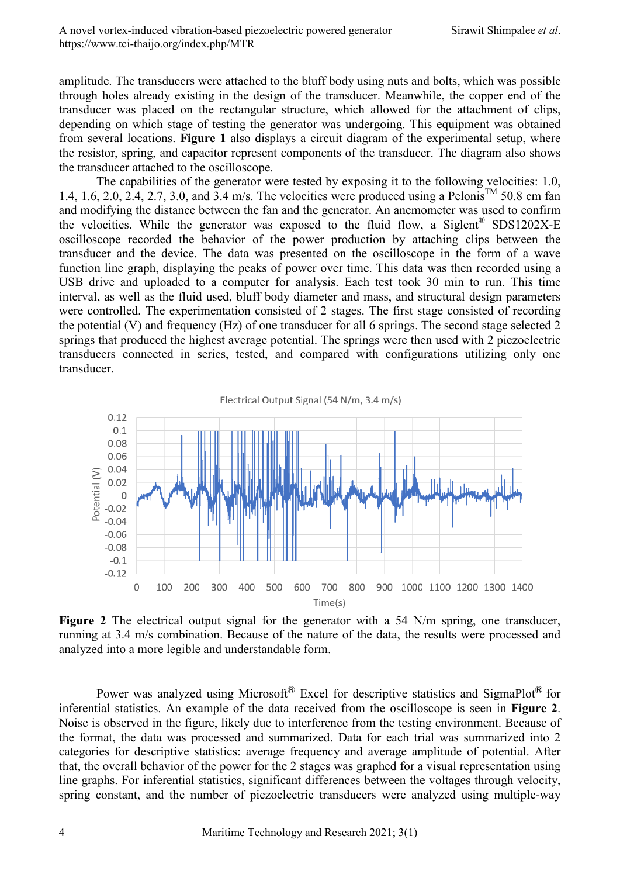amplitude. The transducers were attached to the bluff body using nuts and bolts, which was possible through holes already existing in the design of the transducer. Meanwhile, the copper end of the transducer was placed on the rectangular structure, which allowed for the attachment of clips, depending on which stage of testing the generator was undergoing. This equipment was obtained from several locations. **Figure 1** also displays a circuit diagram of the experimental setup, where the resistor, spring, and capacitor represent components of the transducer. The diagram also shows the transducer attached to the oscilloscope.

The capabilities of the generator were tested by exposing it to the following velocities: 1.0, 1.4, 1.6, 2.0, 2.4, 2.7, 3.0, and 3.4 m/s. The velocities were produced using a Pelonis<sup>TM</sup> 50.8 cm fan and modifying the distance between the fan and the generator. An anemometer was used to confirm the velocities. While the generator was exposed to the fluid flow, a Siglent<sup>®</sup> SDS1202X-E oscilloscope recorded the behavior of the power production by attaching clips between the transducer and the device. The data was presented on the oscilloscope in the form of a wave function line graph, displaying the peaks of power over time. This data was then recorded using a USB drive and uploaded to a computer for analysis. Each test took 30 min to run. This time interval, as well as the fluid used, bluff body diameter and mass, and structural design parameters were controlled. The experimentation consisted of 2 stages. The first stage consisted of recording the potential (V) and frequency (Hz) of one transducer for all 6 springs. The second stage selected 2 springs that produced the highest average potential. The springs were then used with 2 piezoelectric transducers connected in series, tested, and compared with configurations utilizing only one transducer.



Figure 2 The electrical output signal for the generator with a 54 N/m spring, one transducer, running at 3.4 m/s combination. Because of the nature of the data, the results were processed and analyzed into a more legible and understandable form.

Power was analyzed using Microsoft<sup>®</sup> Excel for descriptive statistics and SigmaPlot<sup>®</sup> for inferential statistics. An example of the data received from the oscilloscope is seen in **Figure 2**. Noise is observed in the figure, likely due to interference from the testing environment. Because of the format, the data was processed and summarized. Data for each trial was summarized into 2 categories for descriptive statistics: average frequency and average amplitude of potential. After that, the overall behavior of the power for the 2 stages was graphed for a visual representation using line graphs. For inferential statistics, significant differences between the voltages through velocity, spring constant, and the number of piezoelectric transducers were analyzed using multiple-way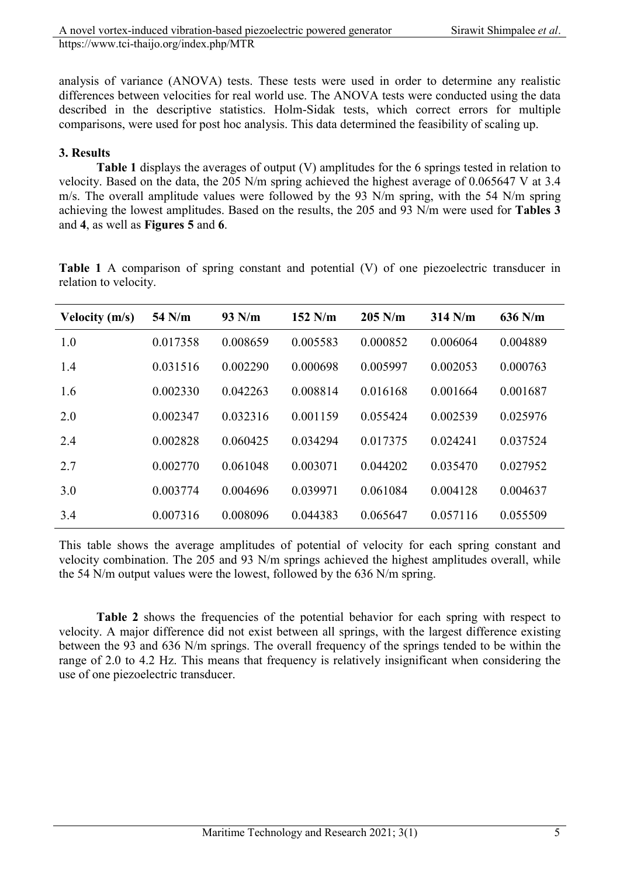analysis of variance (ANOVA) tests. These tests were used in order to determine any realistic differences between velocities for real world use. The ANOVA tests were conducted using the data described in the descriptive statistics. Holm-Sidak tests, which correct errors for multiple comparisons, were used for post hoc analysis. This data determined the feasibility of scaling up.

# **3. Results**

**Table 1** displays the averages of output (V) amplitudes for the 6 springs tested in relation to velocity. Based on the data, the 205 N/m spring achieved the highest average of 0.065647 V at 3.4 m/s. The overall amplitude values were followed by the 93 N/m spring, with the 54 N/m spring achieving the lowest amplitudes. Based on the results, the 205 and 93 N/m were used for **Tables 3** and **4**, as well as **Figures 5** and **6**.

| <b>Velocity (m/s)</b> | 54 N/m   | $93$ N/m | $152$ N/m | $205$ N/m | $314$ N/m | $636$ N/m |
|-----------------------|----------|----------|-----------|-----------|-----------|-----------|
| 1.0                   | 0.017358 | 0.008659 | 0.005583  | 0.000852  | 0.006064  | 0.004889  |
| 1.4                   | 0.031516 | 0.002290 | 0.000698  | 0.005997  | 0.002053  | 0.000763  |
| 1.6                   | 0.002330 | 0.042263 | 0.008814  | 0.016168  | 0.001664  | 0.001687  |
| 2.0                   | 0.002347 | 0.032316 | 0.001159  | 0.055424  | 0.002539  | 0.025976  |
| 2.4                   | 0.002828 | 0.060425 | 0.034294  | 0.017375  | 0.024241  | 0.037524  |
| 2.7                   | 0.002770 | 0.061048 | 0.003071  | 0.044202  | 0.035470  | 0.027952  |
| 3.0                   | 0.003774 | 0.004696 | 0.039971  | 0.061084  | 0.004128  | 0.004637  |
| 3.4                   | 0.007316 | 0.008096 | 0.044383  | 0.065647  | 0.057116  | 0.055509  |

**Table 1** A comparison of spring constant and potential (V) of one piezoelectric transducer in relation to velocity.

This table shows the average amplitudes of potential of velocity for each spring constant and velocity combination. The 205 and 93 N/m springs achieved the highest amplitudes overall, while the 54 N/m output values were the lowest, followed by the 636 N/m spring.

Table 2 shows the frequencies of the potential behavior for each spring with respect to velocity. A major difference did not exist between all springs, with the largest difference existing between the 93 and 636 N/m springs. The overall frequency of the springs tended to be within the range of 2.0 to 4.2 Hz. This means that frequency is relatively insignificant when considering the use of one piezoelectric transducer.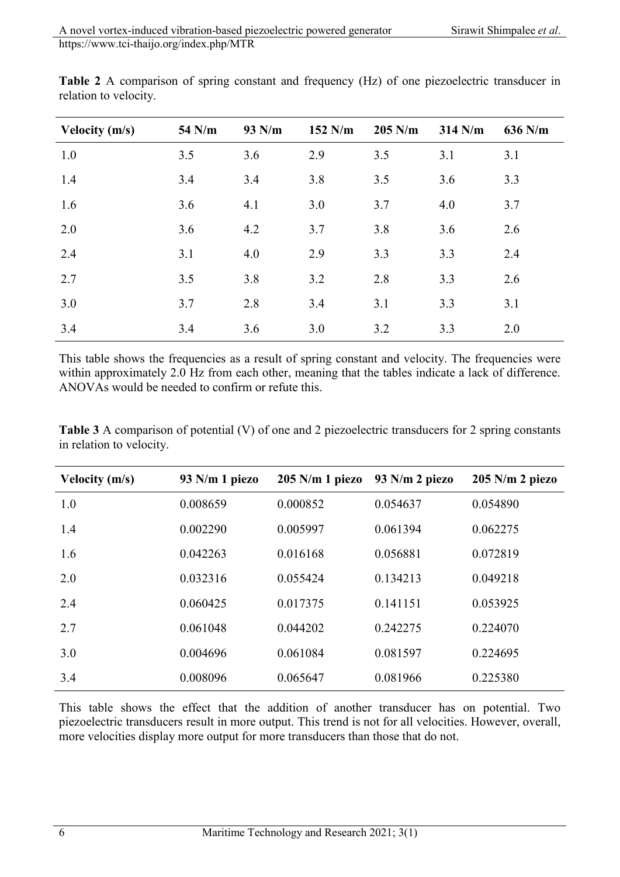| Velocity $(m/s)$ | 54 N/m | 93 N/m | $152$ N/m | $205$ N/m | $314$ N/m | 636 N/m |
|------------------|--------|--------|-----------|-----------|-----------|---------|
| 1.0              | 3.5    | 3.6    | 2.9       | 3.5       | 3.1       | 3.1     |
| 1.4              | 3.4    | 3.4    | 3.8       | 3.5       | 3.6       | 3.3     |
| 1.6              | 3.6    | 4.1    | 3.0       | 3.7       | 4.0       | 3.7     |
| 2.0              | 3.6    | 4.2    | 3.7       | 3.8       | 3.6       | 2.6     |
| 2.4              | 3.1    | 4.0    | 2.9       | 3.3       | 3.3       | 2.4     |
| 2.7              | 3.5    | 3.8    | 3.2       | 2.8       | 3.3       | 2.6     |
| 3.0              | 3.7    | 2.8    | 3.4       | 3.1       | 3.3       | 3.1     |
| 3.4              | 3.4    | 3.6    | 3.0       | 3.2       | 3.3       | 2.0     |

**Table 2** A comparison of spring constant and frequency (Hz) of one piezoelectric transducer in relation to velocity.

This table shows the frequencies as a result of spring constant and velocity. The frequencies were within approximately 2.0 Hz from each other, meaning that the tables indicate a lack of difference. ANOVAs would be needed to confirm or refute this.

| Velocity (m/s) | 93 N/m 1 piezo | $205$ N/m 1 piezo | 93 N/m 2 piezo | $205$ N/m 2 piezo |
|----------------|----------------|-------------------|----------------|-------------------|
| 1.0            | 0.008659       | 0.000852          | 0.054637       | 0.054890          |
| 1.4            | 0.002290       | 0.005997          | 0.061394       | 0.062275          |
| 1.6            | 0.042263       | 0.016168          | 0.056881       | 0.072819          |
| 2.0            | 0.032316       | 0.055424          | 0.134213       | 0.049218          |
| 2.4            | 0.060425       | 0.017375          | 0.141151       | 0.053925          |
| 2.7            | 0.061048       | 0.044202          | 0.242275       | 0.224070          |
| 3.0            | 0.004696       | 0.061084          | 0.081597       | 0.224695          |
| 3.4            | 0.008096       | 0.065647          | 0.081966       | 0.225380          |

**Table 3** A comparison of potential (V) of one and 2 piezoelectric transducers for 2 spring constants in relation to velocity.

This table shows the effect that the addition of another transducer has on potential. Two piezoelectric transducers result in more output. This trend is not for all velocities. However, overall, more velocities display more output for more transducers than those that do not.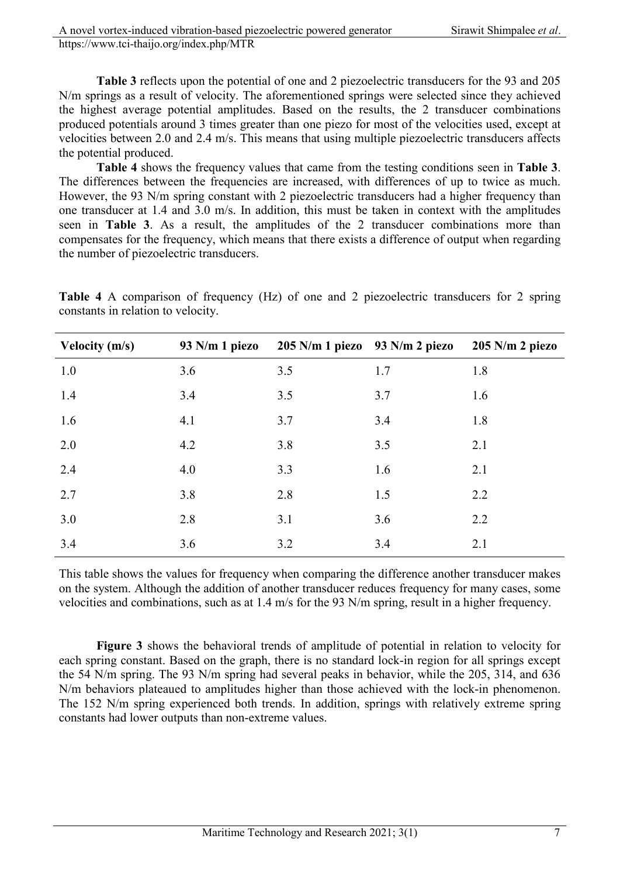**Table 3** reflects upon the potential of one and 2 piezoelectric transducers for the 93 and 205 N/m springs as a result of velocity. The aforementioned springs were selected since they achieved the highest average potential amplitudes. Based on the results, the 2 transducer combinations produced potentials around 3 times greater than one piezo for most of the velocities used, except at velocities between 2.0 and 2.4 m/s. This means that using multiple piezoelectric transducers affects the potential produced.

**Table 4** shows the frequency values that came from the testing conditions seen in **Table 3**. The differences between the frequencies are increased, with differences of up to twice as much. However, the 93 N/m spring constant with 2 piezoelectric transducers had a higher frequency than one transducer at 1.4 and 3.0 m/s. In addition, this must be taken in context with the amplitudes seen in **Table 3**. As a result, the amplitudes of the 2 transducer combinations more than compensates for the frequency, which means that there exists a difference of output when regarding the number of piezoelectric transducers.

**Table 4** A comparison of frequency (Hz) of one and 2 piezoelectric transducers for 2 spring constants in relation to velocity.

| Velocity $(m/s)$ | 93 N/m 1 piezo | $205$ N/m 1 piezo $93$ N/m 2 piezo |     | $205$ N/m 2 piezo |
|------------------|----------------|------------------------------------|-----|-------------------|
| 1.0              | 3.6            | 3.5                                | 1.7 | 1.8               |
| 1.4              | 3.4            | 3.5                                | 3.7 | 1.6               |
| 1.6              | 4.1            | 3.7                                | 3.4 | 1.8               |
| 2.0              | 4.2            | 3.8                                | 3.5 | 2.1               |
| 2.4              | 4.0            | 3.3                                | 1.6 | 2.1               |
| 2.7              | 3.8            | 2.8                                | 1.5 | 2.2               |
| 3.0              | 2.8            | 3.1                                | 3.6 | 2.2               |
| 3.4              | 3.6            | 3.2                                | 3.4 | 2.1               |

This table shows the values for frequency when comparing the difference another transducer makes on the system. Although the addition of another transducer reduces frequency for many cases, some velocities and combinations, such as at 1.4 m/s for the 93 N/m spring, result in a higher frequency.

**Figure 3** shows the behavioral trends of amplitude of potential in relation to velocity for each spring constant. Based on the graph, there is no standard lock-in region for all springs except the 54 N/m spring. The 93 N/m spring had several peaks in behavior, while the 205, 314, and 636 N/m behaviors plateaued to amplitudes higher than those achieved with the lock-in phenomenon. The 152 N/m spring experienced both trends. In addition, springs with relatively extreme spring constants had lower outputs than non-extreme values.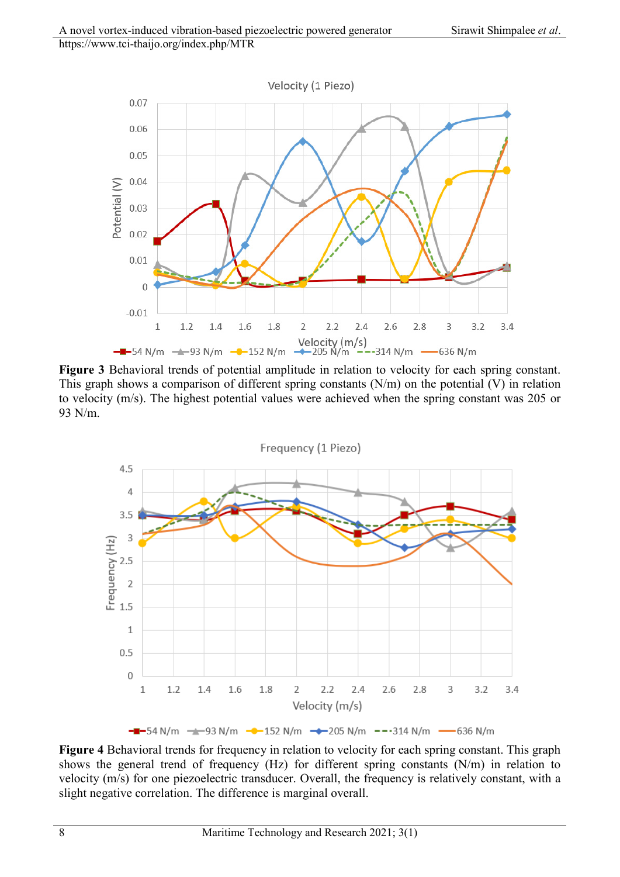

**Figure 3** Behavioral trends of potential amplitude in relation to velocity for each spring constant. This graph shows a comparison of different spring constants (N/m) on the potential (V) in relation to velocity (m/s). The highest potential values were achieved when the spring constant was 205 or 93 N/m.



**Figure 4** Behavioral trends for frequency in relation to velocity for each spring constant. This graph shows the general trend of frequency (Hz) for different spring constants (N/m) in relation to velocity (m/s) for one piezoelectric transducer. Overall, the frequency is relatively constant, with a slight negative correlation. The difference is marginal overall.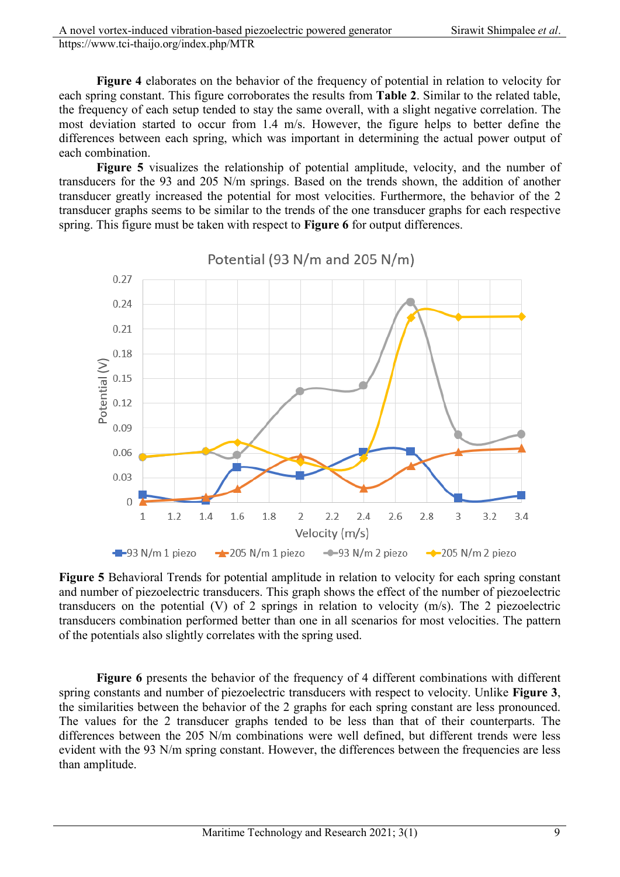**Figure 4** elaborates on the behavior of the frequency of potential in relation to velocity for each spring constant. This figure corroborates the results from **Table 2**. Similar to the related table, the frequency of each setup tended to stay the same overall, with a slight negative correlation. The most deviation started to occur from 1.4 m/s. However, the figure helps to better define the differences between each spring, which was important in determining the actual power output of each combination.

**Figure 5** visualizes the relationship of potential amplitude, velocity, and the number of transducers for the 93 and 205 N/m springs. Based on the trends shown, the addition of another transducer greatly increased the potential for most velocities. Furthermore, the behavior of the 2 transducer graphs seems to be similar to the trends of the one transducer graphs for each respective spring. This figure must be taken with respect to **Figure 6** for output differences.

Potential (93 N/m and 205 N/m)



**Figure 5** Behavioral Trends for potential amplitude in relation to velocity for each spring constant and number of piezoelectric transducers. This graph shows the effect of the number of piezoelectric transducers on the potential (V) of 2 springs in relation to velocity (m/s). The 2 piezoelectric transducers combination performed better than one in all scenarios for most velocities. The pattern of the potentials also slightly correlates with the spring used.

**Figure 6** presents the behavior of the frequency of 4 different combinations with different spring constants and number of piezoelectric transducers with respect to velocity. Unlike **Figure 3**, the similarities between the behavior of the 2 graphs for each spring constant are less pronounced. The values for the 2 transducer graphs tended to be less than that of their counterparts. The differences between the 205 N/m combinations were well defined, but different trends were less evident with the 93 N/m spring constant. However, the differences between the frequencies are less than amplitude.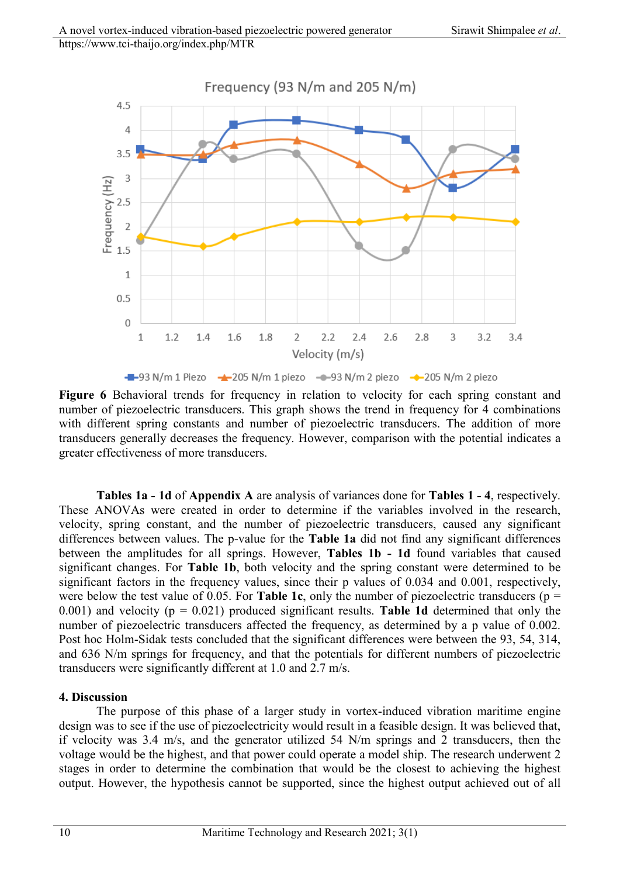

Figure 6 Behavioral trends for frequency in relation to velocity for each spring constant and number of piezoelectric transducers. This graph shows the trend in frequency for 4 combinations with different spring constants and number of piezoelectric transducers. The addition of more transducers generally decreases the frequency. However, comparison with the potential indicates a greater effectiveness of more transducers.

**Tables 1a - 1d** of **Appendix A** are analysis of variances done for **Tables 1 - 4**, respectively. These ANOVAs were created in order to determine if the variables involved in the research, velocity, spring constant, and the number of piezoelectric transducers, caused any significant differences between values. The p-value for the **Table 1a** did not find any significant differences between the amplitudes for all springs. However, **Tables 1b - 1d** found variables that caused significant changes. For **Table 1b**, both velocity and the spring constant were determined to be significant factors in the frequency values, since their p values of 0.034 and 0.001, respectively, were below the test value of 0.05. For **Table 1c**, only the number of piezoelectric transducers ( $p =$ 0.001) and velocity (p = 0.021) produced significant results. **Table 1d** determined that only the number of piezoelectric transducers affected the frequency, as determined by a p value of 0.002. Post hoc Holm-Sidak tests concluded that the significant differences were between the 93, 54, 314, and 636 N/m springs for frequency, and that the potentials for different numbers of piezoelectric transducers were significantly different at 1.0 and 2.7 m/s.

#### **4. Discussion**

The purpose of this phase of a larger study in vortex-induced vibration maritime engine design was to see if the use of piezoelectricity would result in a feasible design. It was believed that, if velocity was 3.4 m/s, and the generator utilized 54 N/m springs and 2 transducers, then the voltage would be the highest, and that power could operate a model ship. The research underwent 2 stages in order to determine the combination that would be the closest to achieving the highest output. However, the hypothesis cannot be supported, since the highest output achieved out of all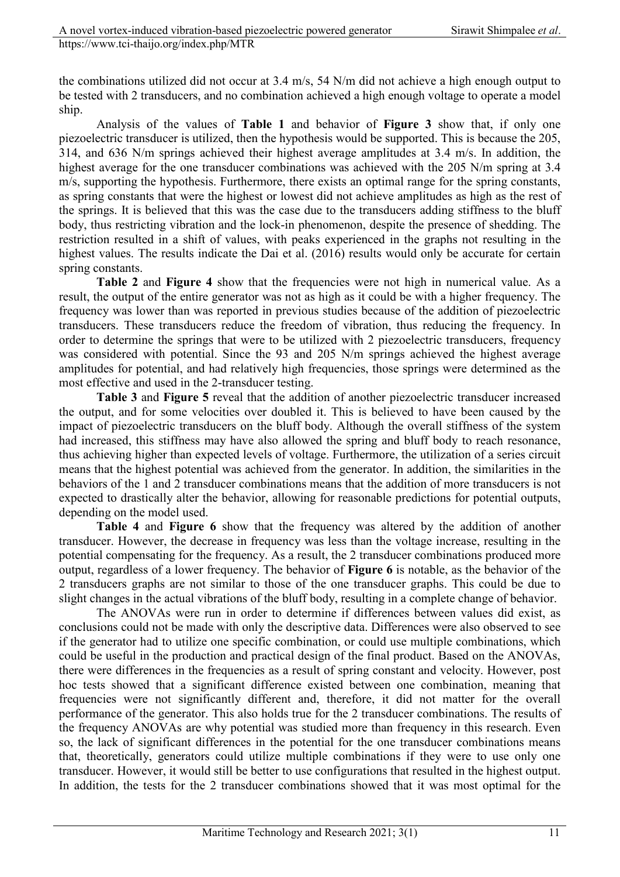the combinations utilized did not occur at 3.4 m/s, 54 N/m did not achieve a high enough output to be tested with 2 transducers, and no combination achieved a high enough voltage to operate a model ship.

Analysis of the values of **Table 1** and behavior of **Figure 3** show that, if only one piezoelectric transducer is utilized, then the hypothesis would be supported. This is because the 205, 314, and 636 N/m springs achieved their highest average amplitudes at 3.4 m/s. In addition, the highest average for the one transducer combinations was achieved with the 205 N/m spring at 3.4 m/s, supporting the hypothesis. Furthermore, there exists an optimal range for the spring constants, as spring constants that were the highest or lowest did not achieve amplitudes as high as the rest of the springs. It is believed that this was the case due to the transducers adding stiffness to the bluff body, thus restricting vibration and the lock-in phenomenon, despite the presence of shedding. The restriction resulted in a shift of values, with peaks experienced in the graphs not resulting in the highest values. The results indicate the Dai et al. (2016) results would only be accurate for certain spring constants.

**Table 2** and **Figure 4** show that the frequencies were not high in numerical value. As a result, the output of the entire generator was not as high as it could be with a higher frequency. The frequency was lower than was reported in previous studies because of the addition of piezoelectric transducers. These transducers reduce the freedom of vibration, thus reducing the frequency. In order to determine the springs that were to be utilized with 2 piezoelectric transducers, frequency was considered with potential. Since the 93 and 205 N/m springs achieved the highest average amplitudes for potential, and had relatively high frequencies, those springs were determined as the most effective and used in the 2-transducer testing.

**Table 3** and **Figure 5** reveal that the addition of another piezoelectric transducer increased the output, and for some velocities over doubled it. This is believed to have been caused by the impact of piezoelectric transducers on the bluff body. Although the overall stiffness of the system had increased, this stiffness may have also allowed the spring and bluff body to reach resonance, thus achieving higher than expected levels of voltage. Furthermore, the utilization of a series circuit means that the highest potential was achieved from the generator. In addition, the similarities in the behaviors of the 1 and 2 transducer combinations means that the addition of more transducers is not expected to drastically alter the behavior, allowing for reasonable predictions for potential outputs, depending on the model used.

**Table 4** and **Figure 6** show that the frequency was altered by the addition of another transducer. However, the decrease in frequency was less than the voltage increase, resulting in the potential compensating for the frequency. As a result, the 2 transducer combinations produced more output, regardless of a lower frequency. The behavior of **Figure 6** is notable, as the behavior of the 2 transducers graphs are not similar to those of the one transducer graphs. This could be due to slight changes in the actual vibrations of the bluff body, resulting in a complete change of behavior.

The ANOVAs were run in order to determine if differences between values did exist, as conclusions could not be made with only the descriptive data. Differences were also observed to see if the generator had to utilize one specific combination, or could use multiple combinations, which could be useful in the production and practical design of the final product. Based on the ANOVAs, there were differences in the frequencies as a result of spring constant and velocity. However, post hoc tests showed that a significant difference existed between one combination, meaning that frequencies were not significantly different and, therefore, it did not matter for the overall performance of the generator. This also holds true for the 2 transducer combinations. The results of the frequency ANOVAs are why potential was studied more than frequency in this research. Even so, the lack of significant differences in the potential for the one transducer combinations means that, theoretically, generators could utilize multiple combinations if they were to use only one transducer. However, it would still be better to use configurations that resulted in the highest output. In addition, the tests for the 2 transducer combinations showed that it was most optimal for the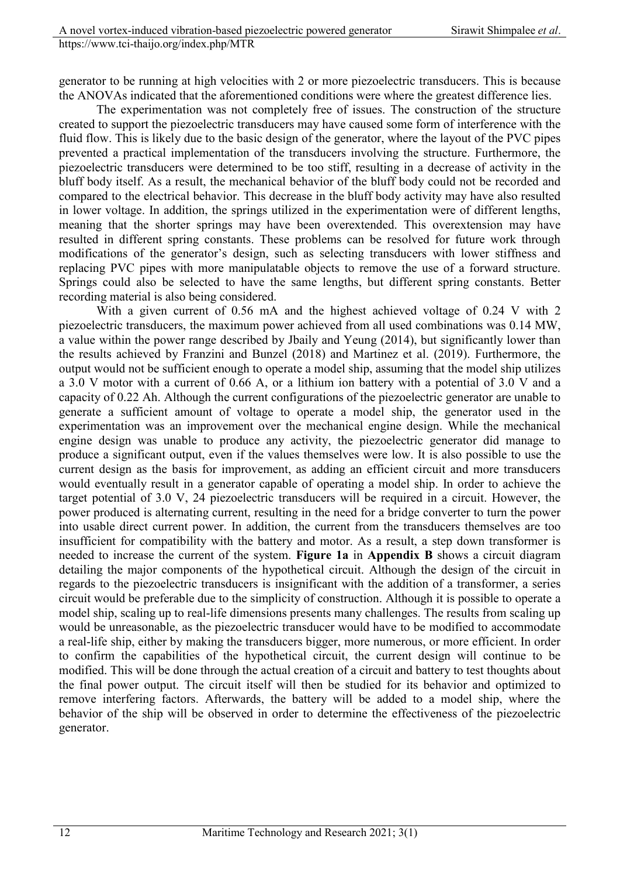generator to be running at high velocities with 2 or more piezoelectric transducers. This is because the ANOVAs indicated that the aforementioned conditions were where the greatest difference lies.

The experimentation was not completely free of issues. The construction of the structure created to support the piezoelectric transducers may have caused some form of interference with the fluid flow. This is likely due to the basic design of the generator, where the layout of the PVC pipes prevented a practical implementation of the transducers involving the structure. Furthermore, the piezoelectric transducers were determined to be too stiff, resulting in a decrease of activity in the bluff body itself. As a result, the mechanical behavior of the bluff body could not be recorded and compared to the electrical behavior. This decrease in the bluff body activity may have also resulted in lower voltage. In addition, the springs utilized in the experimentation were of different lengths, meaning that the shorter springs may have been overextended. This overextension may have resulted in different spring constants. These problems can be resolved for future work through modifications of the generator's design, such as selecting transducers with lower stiffness and replacing PVC pipes with more manipulatable objects to remove the use of a forward structure. Springs could also be selected to have the same lengths, but different spring constants. Better recording material is also being considered.

With a given current of 0.56 mA and the highest achieved voltage of 0.24 V with 2 piezoelectric transducers, the maximum power achieved from all used combinations was 0.14 MW, a value within the power range described by Jbaily and Yeung (2014), but significantly lower than the results achieved by Franzini and Bunzel (2018) and Martinez et al. (2019). Furthermore, the output would not be sufficient enough to operate a model ship, assuming that the model ship utilizes a 3.0 V motor with a current of 0.66 A, or a lithium ion battery with a potential of 3.0 V and a capacity of 0.22 Ah. Although the current configurations of the piezoelectric generator are unable to generate a sufficient amount of voltage to operate a model ship, the generator used in the experimentation was an improvement over the mechanical engine design. While the mechanical engine design was unable to produce any activity, the piezoelectric generator did manage to produce a significant output, even if the values themselves were low. It is also possible to use the current design as the basis for improvement, as adding an efficient circuit and more transducers would eventually result in a generator capable of operating a model ship. In order to achieve the target potential of 3.0 V, 24 piezoelectric transducers will be required in a circuit. However, the power produced is alternating current, resulting in the need for a bridge converter to turn the power into usable direct current power. In addition, the current from the transducers themselves are too insufficient for compatibility with the battery and motor. As a result, a step down transformer is needed to increase the current of the system. **Figure 1a** in **Appendix B** shows a circuit diagram detailing the major components of the hypothetical circuit. Although the design of the circuit in regards to the piezoelectric transducers is insignificant with the addition of a transformer, a series circuit would be preferable due to the simplicity of construction. Although it is possible to operate a model ship, scaling up to real-life dimensions presents many challenges. The results from scaling up would be unreasonable, as the piezoelectric transducer would have to be modified to accommodate a real-life ship, either by making the transducers bigger, more numerous, or more efficient. In order to confirm the capabilities of the hypothetical circuit, the current design will continue to be modified. This will be done through the actual creation of a circuit and battery to test thoughts about the final power output. The circuit itself will then be studied for its behavior and optimized to remove interfering factors. Afterwards, the battery will be added to a model ship, where the behavior of the ship will be observed in order to determine the effectiveness of the piezoelectric generator.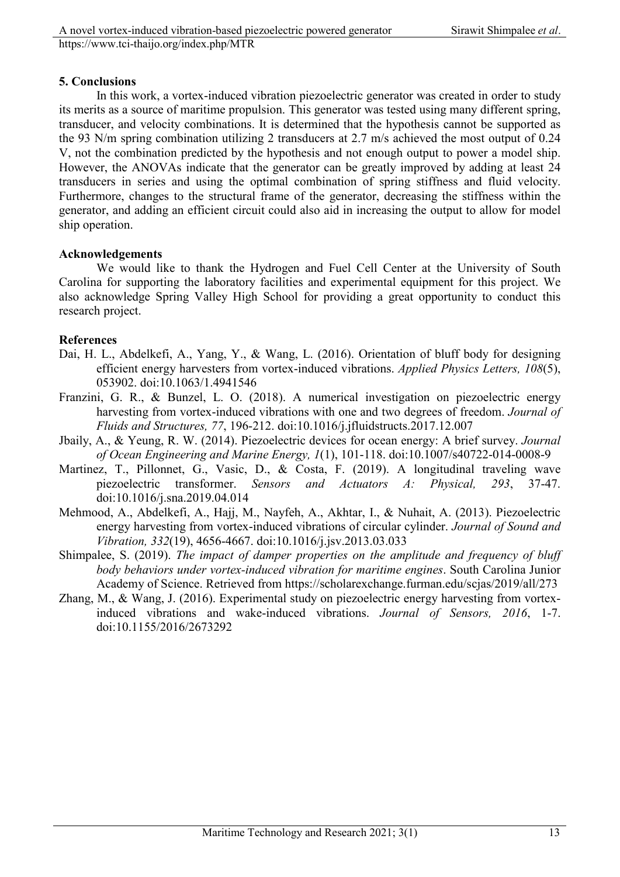#### **5. Conclusions**

In this work, a vortex-induced vibration piezoelectric generator was created in order to study its merits as a source of maritime propulsion. This generator was tested using many different spring, transducer, and velocity combinations. It is determined that the hypothesis cannot be supported as the 93 N/m spring combination utilizing 2 transducers at 2.7 m/s achieved the most output of 0.24 V, not the combination predicted by the hypothesis and not enough output to power a model ship. However, the ANOVAs indicate that the generator can be greatly improved by adding at least 24 transducers in series and using the optimal combination of spring stiffness and fluid velocity. Furthermore, changes to the structural frame of the generator, decreasing the stiffness within the generator, and adding an efficient circuit could also aid in increasing the output to allow for model ship operation.

## **Acknowledgements**

We would like to thank the Hydrogen and Fuel Cell Center at the University of South Carolina for supporting the laboratory facilities and experimental equipment for this project. We also acknowledge Spring Valley High School for providing a great opportunity to conduct this research project.

## **References**

- Dai, H. L., Abdelkefi, A., Yang, Y., & Wang, L. (2016). Orientation of bluff body for designing efficient energy harvesters from vortex-induced vibrations. *Applied Physics Letters, 108*(5), 053902. doi:10.1063/1.4941546
- Franzini, G. R., & Bunzel, L. O. (2018). A numerical investigation on piezoelectric energy harvesting from vortex-induced vibrations with one and two degrees of freedom. *Journal of Fluids and Structures, 77*, 196-212. doi:10.1016/j.jfluidstructs.2017.12.007
- Jbaily, A., & Yeung, R. W. (2014). Piezoelectric devices for ocean energy: A brief survey. *Journal of Ocean Engineering and Marine Energy, 1*(1), 101-118. doi:10.1007/s40722-014-0008-9
- Martinez, T., Pillonnet, G., Vasic, D., & Costa, F. (2019). A longitudinal traveling wave piezoelectric transformer. *Sensors and Actuators A: Physical, 293*, 37-47. doi:10.1016/j.sna.2019.04.014
- Mehmood, A., Abdelkefi, A., Hajj, M., Nayfeh, A., Akhtar, I., & Nuhait, A. (2013). Piezoelectric energy harvesting from vortex-induced vibrations of circular cylinder. *Journal of Sound and Vibration, 332*(19), 4656-4667. doi:10.1016/j.jsv.2013.03.033
- Shimpalee, S. (2019). *The impact of damper properties on the amplitude and frequency of bluff body behaviors under vortex-induced vibration for maritime engines*. South Carolina Junior Academy of Science. Retrieved from https://scholarexchange.furman.edu/scjas/2019/all/273
- Zhang, M., & Wang, J. (2016). Experimental study on piezoelectric energy harvesting from vortexinduced vibrations and wake-induced vibrations. *Journal of Sensors, 2016*, 1-7. doi:10.1155/2016/2673292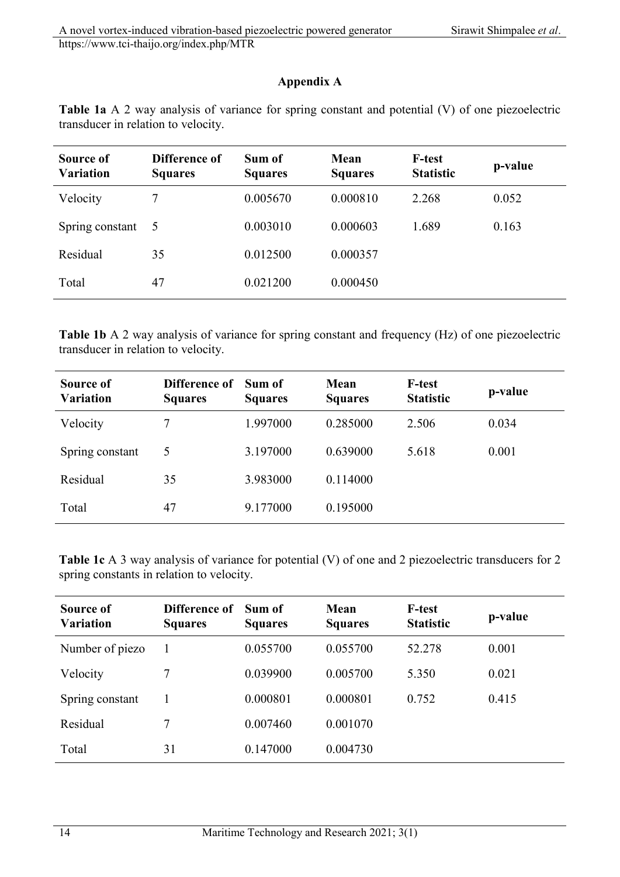# **Appendix A**

| Table 1a A 2 way analysis of variance for spring constant and potential (V) of one piezoelectric |  |  |  |
|--------------------------------------------------------------------------------------------------|--|--|--|
| transducer in relation to velocity.                                                              |  |  |  |

| Source of<br><b>Variation</b> | Difference of<br><b>Squares</b> | Sum of<br><b>Squares</b> | Mean<br><b>Squares</b> | <b>F-test</b><br><b>Statistic</b> | p-value |
|-------------------------------|---------------------------------|--------------------------|------------------------|-----------------------------------|---------|
| Velocity                      | 7                               | 0.005670                 | 0.000810               | 2.268                             | 0.052   |
| Spring constant               | -5                              | 0.003010                 | 0.000603               | 1.689                             | 0.163   |
| Residual                      | 35                              | 0.012500                 | 0.000357               |                                   |         |
| Total                         | 47                              | 0.021200                 | 0.000450               |                                   |         |

**Table 1b** A 2 way analysis of variance for spring constant and frequency (Hz) of one piezoelectric transducer in relation to velocity.

| Source of<br><b>Variation</b> | Difference of<br><b>Squares</b> | Sum of<br><b>Squares</b> | Mean<br><b>Squares</b> | <b>F-test</b><br><b>Statistic</b> | p-value |
|-------------------------------|---------------------------------|--------------------------|------------------------|-----------------------------------|---------|
| Velocity                      | 7                               | 1.997000                 | 0.285000               | 2.506                             | 0.034   |
| Spring constant               | 5                               | 3.197000                 | 0.639000               | 5.618                             | 0.001   |
| Residual                      | 35                              | 3.983000                 | 0.114000               |                                   |         |
| Total                         | 47                              | 9.177000                 | 0.195000               |                                   |         |

**Table 1c** A 3 way analysis of variance for potential (V) of one and 2 piezoelectric transducers for 2 spring constants in relation to velocity.

| Source of<br><b>Variation</b> | Difference of<br><b>Squares</b> | Sum of<br><b>Squares</b> | Mean<br><b>Squares</b> | <b>F-test</b><br><b>Statistic</b> | p-value |
|-------------------------------|---------------------------------|--------------------------|------------------------|-----------------------------------|---------|
| Number of piezo               |                                 | 0.055700                 | 0.055700               | 52.278                            | 0.001   |
| Velocity                      | 7                               | 0.039900                 | 0.005700               | 5.350                             | 0.021   |
| Spring constant               |                                 | 0.000801                 | 0.000801               | 0.752                             | 0.415   |
| Residual                      | 7                               | 0.007460                 | 0.001070               |                                   |         |
| Total                         | 31                              | 0.147000                 | 0.004730               |                                   |         |